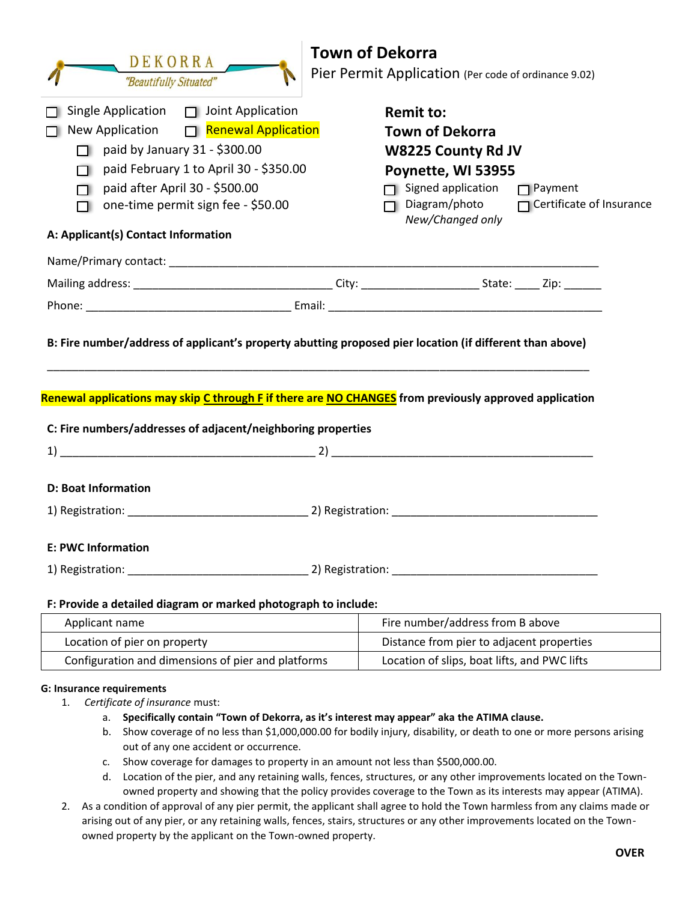| <b>Town of Dekorra</b>                                                                                                                                                                                                                                                         |                                                                                                                                                                                                                             |  |
|--------------------------------------------------------------------------------------------------------------------------------------------------------------------------------------------------------------------------------------------------------------------------------|-----------------------------------------------------------------------------------------------------------------------------------------------------------------------------------------------------------------------------|--|
| DEKORRA<br>"Beautifully Situated"                                                                                                                                                                                                                                              | Pier Permit Application (Per code of ordinance 9.02)                                                                                                                                                                        |  |
| Single Application $\Box$ Joint Application<br>New Application □ Renewal Application<br>paid by January 31 - \$300.00<br>paid February 1 to April 30 - \$350.00<br>paid after April 30 - \$500.00<br>one-time permit sign fee - \$50.00<br>A: Applicant(s) Contact Information | <b>Remit to:</b><br><b>Town of Dekorra</b><br><b>W8225 County Rd JV</b><br>Poynette, WI 53955<br>$\Box$ Signed application<br>$\Box$ Payment<br>$\Box$ Diagram/photo<br>$\Box$ Certificate of Insurance<br>New/Changed only |  |
|                                                                                                                                                                                                                                                                                |                                                                                                                                                                                                                             |  |
|                                                                                                                                                                                                                                                                                |                                                                                                                                                                                                                             |  |
|                                                                                                                                                                                                                                                                                |                                                                                                                                                                                                                             |  |
| Renewal applications may skip C through F if there are NO CHANGES from previously approved application<br>C: Fire numbers/addresses of adjacent/neighboring properties                                                                                                         |                                                                                                                                                                                                                             |  |
|                                                                                                                                                                                                                                                                                |                                                                                                                                                                                                                             |  |
| <b>D: Boat Information</b>                                                                                                                                                                                                                                                     |                                                                                                                                                                                                                             |  |
| <b>E: PWC Information</b>                                                                                                                                                                                                                                                      |                                                                                                                                                                                                                             |  |
| 1) Registration: 2) Registration:                                                                                                                                                                                                                                              |                                                                                                                                                                                                                             |  |
| F: Provide a detailed diagram or marked photograph to include:                                                                                                                                                                                                                 |                                                                                                                                                                                                                             |  |
| Applicant name                                                                                                                                                                                                                                                                 | Fire number/address from B above                                                                                                                                                                                            |  |
| Location of pier on property                                                                                                                                                                                                                                                   | Distance from pier to adjacent properties                                                                                                                                                                                   |  |
| Configuration and dimensions of pier and platforms                                                                                                                                                                                                                             | Location of slips, boat lifts, and PWC lifts                                                                                                                                                                                |  |
|                                                                                                                                                                                                                                                                                |                                                                                                                                                                                                                             |  |

## **G: Insurance requirements**

- 1. *Certificate of insurance* must:
	- a. **Specifically contain "Town of Dekorra, as it's interest may appear" aka the ATIMA clause.**
	- b. Show coverage of no less than \$1,000,000.00 for bodily injury, disability, or death to one or more persons arising out of any one accident or occurrence.
	- c. Show coverage for damages to property in an amount not less than \$500,000.00.
	- d. Location of the pier, and any retaining walls, fences, structures, or any other improvements located on the Townowned property and showing that the policy provides coverage to the Town as its interests may appear (ATIMA).
- 2. As a condition of approval of any pier permit, the applicant shall agree to hold the Town harmless from any claims made or arising out of any pier, or any retaining walls, fences, stairs, structures or any other improvements located on the Townowned property by the applicant on the Town-owned property.